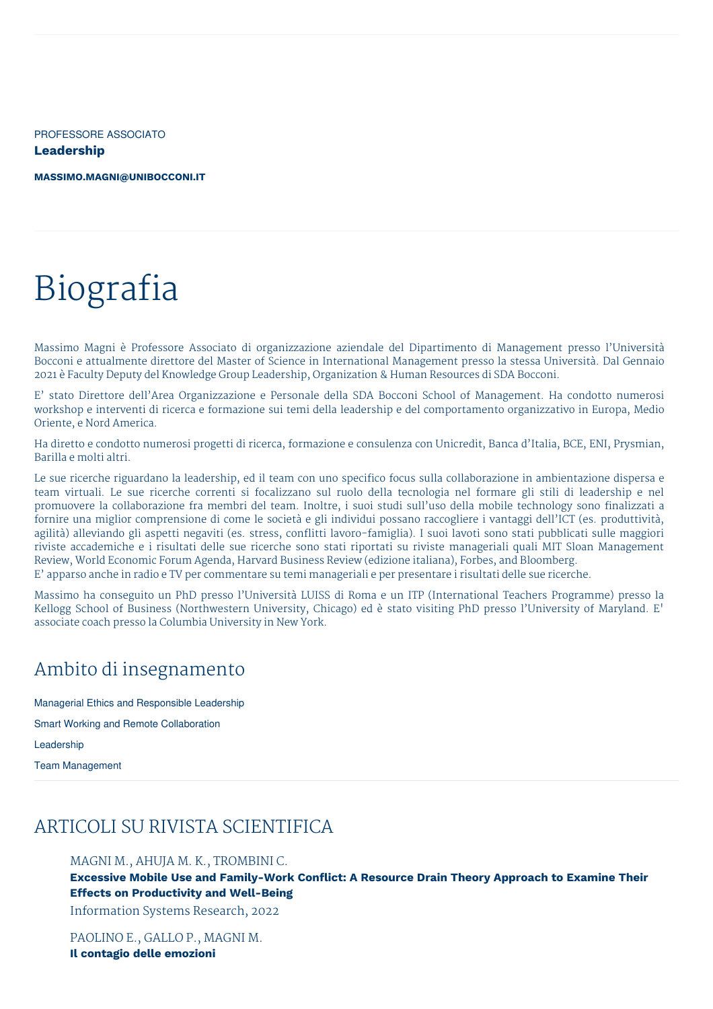PROFESSORE ASSOCIATO **Leadership**

**[MASSIMO.MAGNI@UNIBOCCONI.IT](mailto:massimo.magni@unibocconi.it)**

# Biografia

Massimo Magni è Professore Associato di organizzazione aziendale del Dipartimento di Management presso l'Università Bocconi e attualmente direttore del Master of Science in International Management presso la stessa Università. Dal Gennaio 2021 è Faculty Deputy del Knowledge Group Leadership, Organization & Human Resources di SDA Bocconi.

E' stato Direttore dell'Area Organizzazione e Personale della SDA Bocconi School of Management. Ha condotto numerosi workshop e interventi di ricerca e formazione sui temi della leadership e del comportamento organizzativo in Europa, Medio Oriente, e Nord America.

Ha diretto e condotto numerosi progetti di ricerca, formazione e consulenza con Unicredit, Banca d'Italia, BCE, ENI, Prysmian, Barilla e molti altri.

Le sue ricerche riguardano la leadership, ed il team con uno specifico focus sulla collaborazione in ambientazione dispersa e team virtuali. Le sue ricerche correnti si focalizzano sul ruolo della tecnologia nel formare gli stili di leadership e nel promuovere la collaborazione fra membri del team. Inoltre, i suoi studi sull'uso della mobile technology sono finalizzati a fornire una miglior comprensione di come le società e gli individui possano raccogliere i vantaggi dell'ICT (es. produttività, agilità) alleviando gli aspetti negaviti (es. stress, conflitti lavoro-famiglia). I suoi lavoti sono stati pubblicati sulle maggiori riviste accademiche e i risultati delle sue ricerche sono stati riportati su riviste manageriali quali MIT Sloan Management Review, World Economic Forum Agenda, Harvard Business Review (edizione italiana), Forbes, and Bloomberg. E' apparso anche in radio e TV per commentare su temi manageriali e per presentare i risultati delle sue ricerche.

Massimo ha conseguito un PhD presso l'Università LUISS di Roma e un ITP (International Teachers Programme) presso la Kellogg School of Business (Northwestern University, Chicago) ed è stato visiting PhD presso l'University of Maryland. E' associate coach presso la Columbia University in New York.

## Ambito di insegnamento

Managerial Ethics and Responsible Leadership

Smart Working and Remote Collaboration

Leadership

Team Management

# ARTICOLI SU RIVISTA SCIENTIFICA

#### MAGNI M., AHUJA M. K., TROMBINI C.

**Excessive Mobile Use and Family-Work Conflict: A Resource Drain Theory Approach to Examine Their Effects on Productivity and Well-Being**

Information Systems Research, 2022

PAOLINO E., GALLO P., MAGNI M. **Il contagio delle emozioni**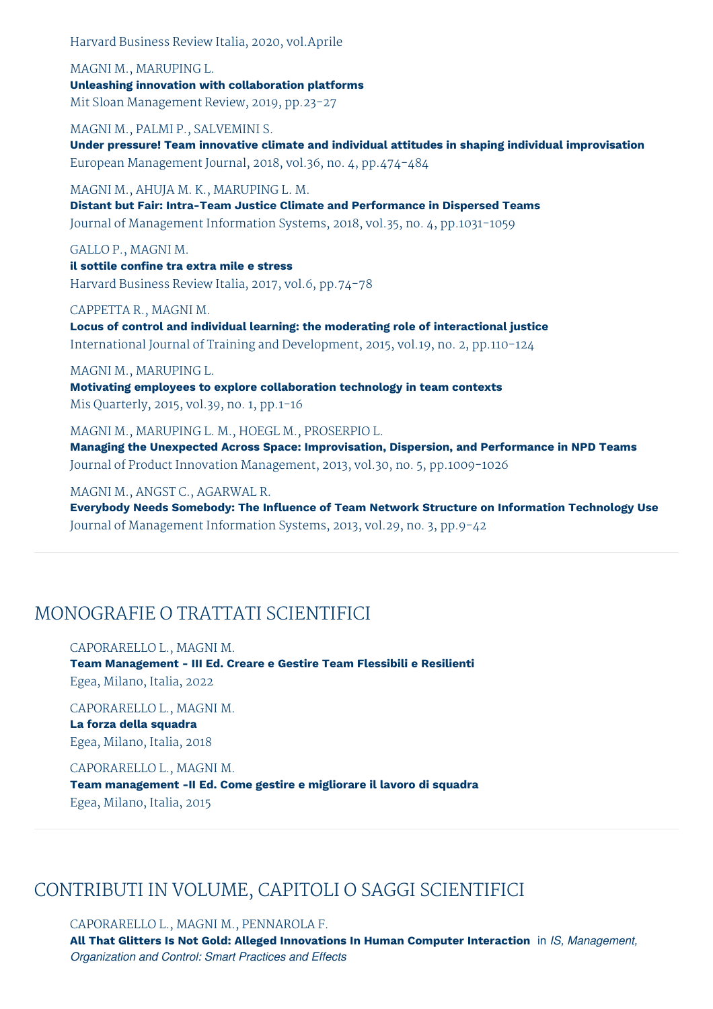Harvard Business Review Italia, 2020, vol.Aprile

MAGNI M., MARUPING L. **Unleashing innovation with collaboration platforms** Mit Sloan Management Review, 2019, pp.23-27

MAGNI M., PALMI P., SALVEMINI S. **Under pressure! Team innovative climate and individual attitudes in shaping individual improvisation** European Management Journal, 2018, vol.36, no. 4, pp.474-484

MAGNI M., AHUJA M. K., MARUPING L. M. **Distant but Fair: Intra-Team Justice Climate and Performance in Dispersed Teams** Journal of Management Information Systems, 2018, vol.35, no. 4, pp.1031-1059

GALLO P., MAGNI M. **il sottile confine tra extra mile e stress** Harvard Business Review Italia, 2017, vol.6, pp.74-78

CAPPETTA R., MAGNI M.

**Locus of control and individual learning: the moderating role of interactional justice** International Journal of Training and Development, 2015, vol.19, no. 2, pp.110-124

MAGNI M., MARUPING L.

**Motivating employees to explore collaboration technology in team contexts** Mis Quarterly, 2015, vol.39, no. 1, pp.1-16

MAGNI M., MARUPING L. M., HOEGL M., PROSERPIO L. **Managing the Unexpected Across Space: Improvisation, Dispersion, and Performance in NPD Teams** Journal of Product Innovation Management, 2013, vol.30, no. 5, pp.1009-1026

MAGNI M., ANGST C., AGARWAL R.

**Everybody Needs Somebody: The Influence of Team Network Structure on Information Technology Use** Journal of Management Information Systems, 2013, vol.29, no. 3, pp.9-42

# MONOGRAFIE O TRATTATI SCIENTIFICI

#### CAPORARELLO L., MAGNI M.

**Team Management - III Ed. Creare e Gestire Team Flessibili e Resilienti** Egea, Milano, Italia, 2022

CAPORARELLO L., MAGNI M. **La forza della squadra** Egea, Milano, Italia, 2018

#### CAPORARELLO L., MAGNI M.

**Team management -II Ed. Come gestire e migliorare il lavoro di squadra** Egea, Milano, Italia, 2015

# CONTRIBUTI IN VOLUME, CAPITOLI O SAGGI SCIENTIFICI

CAPORARELLO L., MAGNI M., PENNAROLA F. **All That Glitters Is Not Gold: Alleged Innovations In Human Computer Interaction** in *IS, Management, Organization and Control: Smart Practices and Effects*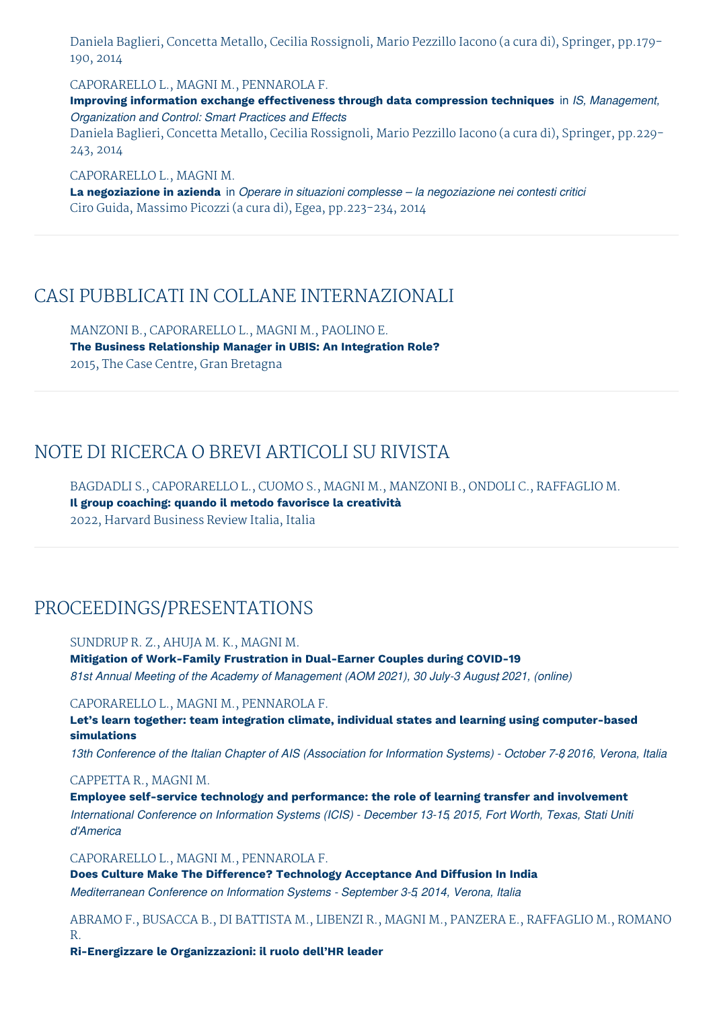Daniela Baglieri, Concetta Metallo, Cecilia Rossignoli, Mario Pezzillo Iacono (a cura di), Springer, pp.179- 190, 2014

CAPORARELLO L., MAGNI M., PENNAROLA F.

**Improving information exchange effectiveness through data compression techniques** in *IS, Management, Organization and Control: Smart Practices and Effects*

Daniela Baglieri, Concetta Metallo, Cecilia Rossignoli, Mario Pezzillo Iacono (a cura di), Springer, pp.229- 243, 2014

CAPORARELLO L., MAGNI M. **La negoziazione in azienda** in *Operare in situazioni complesse – la negoziazione nei contesti critici* Ciro Guida, Massimo Picozzi (a cura di), Egea, pp.223-234, 2014

### CASI PUBBLICATI IN COLLANE INTERNAZIONALI

MANZONI B., CAPORARELLO L., MAGNI M., PAOLINO E. **The Business Relationship Manager in UBIS: An Integration Role?** 2015, The Case Centre, Gran Bretagna

# NOTE DI RICERCA O BREVI ARTICOLI SU RIVISTA

BAGDADLI S., CAPORARELLO L., CUOMO S., MAGNI M., MANZONI B., ONDOLI C., RAFFAGLIO M. **Il group coaching: quando il metodo favorisce la creatività** 2022, Harvard Business Review Italia, Italia

## PROCEEDINGS/PRESENTATIONS

#### SUNDRUP R. Z., AHUJA M. K., MAGNI M.

**Mitigation of Work-Family Frustration in Dual-Earner Couples during COVID-19** *81st Annual Meeting of the Academy of Management (AOM 2021), 30 July-3 Augus,t 2021, (online)*

#### CAPORARELLO L., MAGNI M., PENNAROLA F.

**Let's learn together: team integration climate, individual states and learning using computer-based simulations**

13th Conference of the Italian Chapter of AIS (Association for Information Systems) - October 7-8 2016, Verona, Italia

#### CAPPETTA R., MAGNI M.

**Employee self-service technology and performance: the role of learning transfer and involvement** *International Conference on Information Systems (ICIS) - December 13-15, 2015, Fort Worth, Texas, Stati Uniti d'America*

#### CAPORARELLO L., MAGNI M., PENNAROLA F.

**Does Culture Make The Difference? Technology Acceptance And Diffusion In India** *Mediterranean Conference on Information Systems - September 3-5, 2014, Verona, Italia*

ABRAMO F., BUSACCA B., DI BATTISTA M., LIBENZI R., MAGNI M., PANZERA E., RAFFAGLIO M., ROMANO R.

**Ri-Energizzare le Organizzazioni: il ruolo dell'HR leader**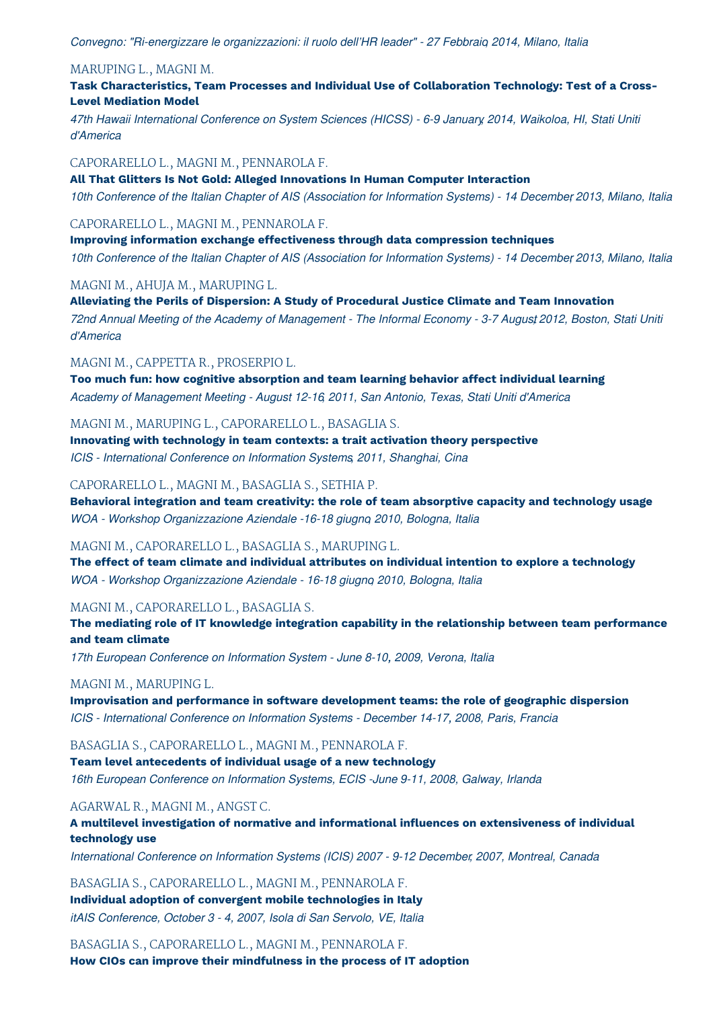*Convegno: "Ri-energizzare le organizzazioni: il ruolo dell'HR leader" - 27 Febbraio, 2014, Milano, Italia*

#### MARUPING L., MAGNI M.

**Task Characteristics, Team Processes and Individual Use of Collaboration Technology: Test of a Cross-Level Mediation Model**

*47th Hawaii International Conference on System Sciences (HICSS) - 6-9 January, 2014, Waikoloa, HI, Stati Uniti d'America*

CAPORARELLO L., MAGNI M., PENNAROLA F.

**All That Glitters Is Not Gold: Alleged Innovations In Human Computer Interaction** 10th Conference of the Italian Chapter of AIS (Association for Information Systems) - 14 December 2013, Milano, Italia

#### CAPORARELLO L., MAGNI M., PENNAROLA F.

**Improving information exchange effectiveness through data compression techniques** 10th Conference of the Italian Chapter of AIS (Association for Information Systems) - 14 December 2013, Milano, Italia

#### MAGNI M., AHUJA M., MARUPING L.

**Alleviating the Perils of Dispersion: A Study of Procedural Justice Climate and Team Innovation** 72nd Annual Meeting of the Academy of Management - The Informal Economy - 3-7 August 2012, Boston, Stati Uniti *d'America*

#### MAGNI M., CAPPETTA R., PROSERPIO L.

**Too much fun: how cognitive absorption and team learning behavior affect individual learning** *Academy of Management Meeting - August 12-16, 2011, San Antonio, Texas, Stati Uniti d'America*

#### MAGNI M., MARUPING L., CAPORARELLO L., BASAGLIA S.

**Innovating with technology in team contexts: a trait activation theory perspective** *ICIS - International Conference on Information Systems, 2011, Shanghai, Cina*

#### CAPORARELLO L., MAGNI M., BASAGLIA S., SETHIA P.

**Behavioral integration and team creativity: the role of team absorptive capacity and technology usage** *WOA - Workshop Organizzazione Aziendale -16-18 giugno, 2010, Bologna, Italia*

#### MAGNI M., CAPORARELLO L., BASAGLIA S., MARUPING L.

**The effect of team climate and individual attributes on individual intention to explore a technology** *WOA - Workshop Organizzazione Aziendale - 16-18 giugno, 2010, Bologna, Italia*

#### MAGNI M., CAPORARELLO L., BASAGLIA S.

**The mediating role of IT knowledge integration capability in the relationship between team performance and team climate**

*17th European Conference on Information System - June 8-10, 2009, Verona, Italia*

#### MAGNI M., MARUPING L.

**Improvisation and performance in software development teams: the role of geographic dispersion** *ICIS - International Conference on Information Systems - December 14-17, 2008, Paris, Francia*

#### BASAGLIA S., CAPORARELLO L., MAGNI M., PENNAROLA F.

**Team level antecedents of individual usage of a new technology** *16th European Conference on Information Systems, ECIS -June 9-11, 2008, Galway, Irlanda*

#### AGARWAL R., MAGNI M., ANGST C.

**A multilevel investigation of normative and informational influences on extensiveness of individual technology use**

*International Conference on Information Systems (ICIS) 2007 - 9-12 December, 2007, Montreal, Canada*

BASAGLIA S., CAPORARELLO L., MAGNI M., PENNAROLA F. **Individual adoption of convergent mobile technologies in Italy** *itAIS Conference, October 3 - 4, 2007, Isola di San Servolo, VE, Italia*

BASAGLIA S., CAPORARELLO L., MAGNI M., PENNAROLA F. **How CIOs can improve their mindfulness in the process of IT adoption**